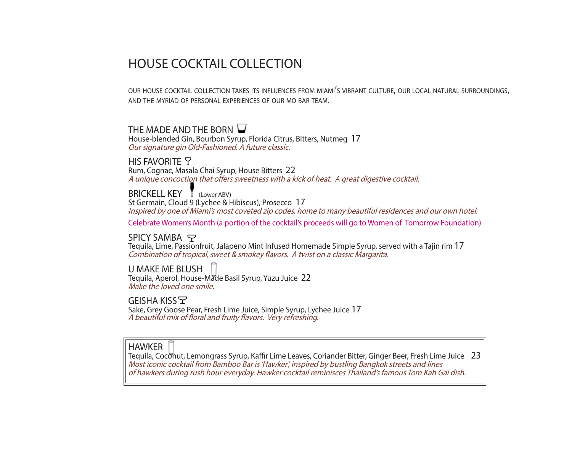# HOUSE COCKTAIL COLLECTION

our house cocktail collection takes its influences from miami's vibrant culture, our local natural surroundings, and the myriad of personal experiences of our mo bar team.

### THE MADE AND THE BORN  $\bigcup$

House-blended Gin, Bourbon Syrup, Florida Citrus, Bitters, Nutmeg 17 Our signature gin Old-Fashioned. A future classic.

**HIS FAVORITE 7** Rum, Cognac, Masala Chai Syrup, House Bitters 22 A unique concoction that offers sweetness with a kick of heat. A great digestive cocktail.

BRICKELL KEY T (Lower ABV) St Germain, Cloud 9 (Lychee & Hibiscus), Prosecco 17 Inspired by one of Miami's most coveted zip codes, home to many beautiful residences and our own hotel.

Celebrate Women's Month (a portion of the cocktail's proceeds will go to Women of Tomorrow Foundation)

SPICY SAMBA Tequila, Lime, Passionfruit, Jalapeno Mint Infused Homemade Simple Syrup, served with a Tajin rim 17 Combination of tropical, sweet & smokey flavors. A twist on a classic Margarita.

U MAKE ME BLUSH Tequila, Aperol, House-Made Basil Syrup, Yuzu Juice 22 Make the loved one smile.

GEISHA KISS Sake, Grey Goose Pear, Fresh Lime Juice, Simple Syrup, Lychee Juice 17 A beautiful mix of floral and fruity flavors. Very refreshing.

#### HAWKER

Tequila, Coconut, Lemongrass Syrup, Kaffir Lime Leaves, Coriander Bitter, Ginger Beer, Fresh Lime Juice 23 Most iconic cocktail from Bamboo Bar is 'Hawker', inspired by bustling Bangkok streets and lines of hawkers during rush hour everyday. Hawker cocktail reminisces Thailand's famous Tom Kah Gai dish.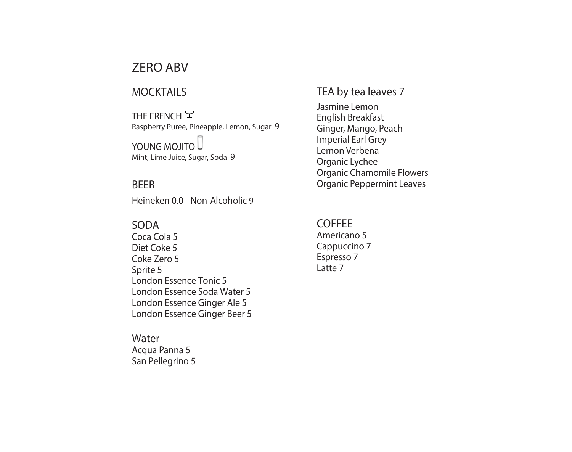## ZERO ABV

### MOCKTAILS

THE FRENCH  $\mathsf{\Sigma}$ Raspberry Puree, Pineapple, Lemon, Sugar 9

### YOUNG MOJITO

Mint, Lime Juice, Sugar, Soda 9

### BEER

Heineken 0.0 - Non-Alcoholic 9

### SODA

Coca Cola 5 Diet Coke 5 Coke Zero 5 Sprite 5 London Essence Tonic 5 London Essence Soda Water 5 London Essence Ginger Ale 5 London Essence Ginger Beer 5

### Water

Acqua Panna 5 San Pellegrino 5

### TEA by tea leaves 7

Jasmine Lemon English Breakfast Ginger, Mango, Peach Imperial Earl Grey Lemon Verbena Organic Lychee Organic Chamomile Flowers Organic Peppermint Leaves

#### **COFFEE** Americano 5 Cappuccino 7 Espresso 7

Latte 7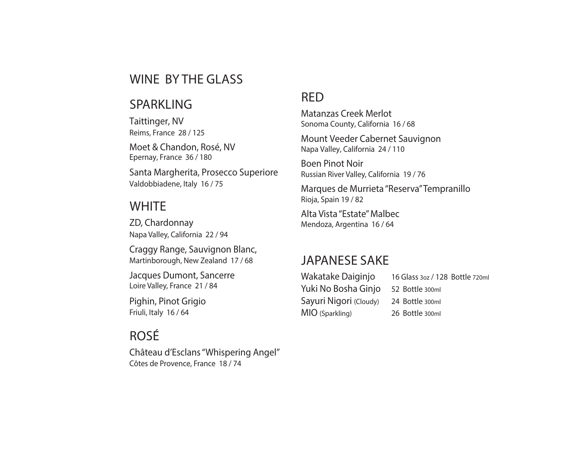## WINE BY THE GLASS

### SPARKLING

Taittinger, NV Reims, France 28 / 125

Moet & Chandon, Rosé, NV Epernay, France 36 / 180

Santa Margherita, Prosecco Superiore Valdobbiadene, Italy 16 / 75

### **WHITE**

ZD, Chardonnay Napa Valley, California 22 / 94

Craggy Range, Sauvignon Blanc, Martinborough, New Zealand 17 / 68

Jacques Dumont, Sancerre Loire Valley, France 21 / 84

Pighin, Pinot Grigio Friuli, Italy 16 / 64

# ROSÉ

Château d'Esclans "Whispering Angel" Côtes de Provence, France 18 / 74

## RED

Matanzas Creek Merlot Sonoma County, California 16 / 68

Mount Veeder Cabernet Sauvignon Napa Valley, California 24 / 110

Boen Pinot Noir Russian River Valley, California 19 / 76

Marques de Murrieta "Reserva" Tempranillo Rioja, Spain 19 / 82

Alta Vista "Estate" Malbec Mendoza, Argentina 16 / 64

## JAPANESE SAKE

| Wakatake Daiginjo      | 16 Glass 3oz / 128 Bottle 720ml |
|------------------------|---------------------------------|
| Yuki No Bosha Ginjo    | 52 Bottle 300ml                 |
| Sayuri Nigori (Cloudy) | 24 Bottle 300ml                 |
| MIO (Sparkling)        | 26 Bottle 300ml                 |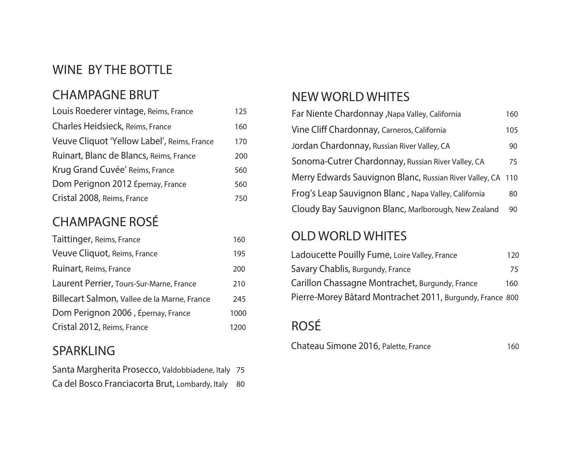# WINE BY THE BOTTLE

# CHAMPAGNE BRUT

| Louis Roederer vintage, Reims, France       | 125 |
|---------------------------------------------|-----|
| Charles Heidsieck, Reims, France            | 160 |
| Veuve Cliquot 'Yellow Label', Reims, France | 170 |
| Ruinart, Blanc de Blancs, Reims, France     | 200 |
| Krug Grand Cuvée' Reims, France             | 560 |
| Dom Perignon 2012 Épernay, France           | 560 |
| Cristal 2008, Reims, France                 | 750 |

# CHAMPAGNE ROSÉ

| Taittinger, Reims, France                    | 160  |
|----------------------------------------------|------|
| Veuve Cliquot, Reims, France                 | 195  |
| Ruinart, Reims, France                       | 200  |
| Laurent Perrier, Tours-Sur-Marne, France     | 210  |
| Billecart Salmon, Vallee de la Marne, France | 245  |
| Dom Perignon 2006, Épernay, France           | 1000 |
| Cristal 2012, Reims, France                  | 1200 |

## SPARKLING

| Santa Margherita Prosecco, Valdobbiadene, Italy 75 |  |
|----------------------------------------------------|--|
| Ca del Bosco Franciacorta Brut, Lombardy, Italy 80 |  |

# NEW WORLD WHITES

| Far Niente Chardonnay , Napa Valley, California             | 160 |
|-------------------------------------------------------------|-----|
| Vine Cliff Chardonnay, Carneros, California                 | 105 |
| Jordan Chardonnay, Russian River Valley, CA                 | 90  |
| Sonoma-Cutrer Chardonnay, Russian River Valley, CA          | 75  |
| Merry Edwards Sauvignon Blanc, Russian River Valley, CA 110 |     |
| Frog's Leap Sauvignon Blanc, Napa Valley, California        | 80  |
| Cloudy Bay Sauvignon Blanc, Marlborough, New Zealand        | 90  |

# OLD WORLD WHITES

| Ladoucette Pouilly Fume, Loire Valley, France             | 120 |
|-----------------------------------------------------------|-----|
| Savary Chablis, Burgundy, France                          | 75  |
| Carillon Chassagne Montrachet, Burgundy, France           | 160 |
| Pierre-Morey Bâtard Montrachet 2011, Burgundy, France 800 |     |

# ROSÉ

Chateau Simone 2016, Palette, France 160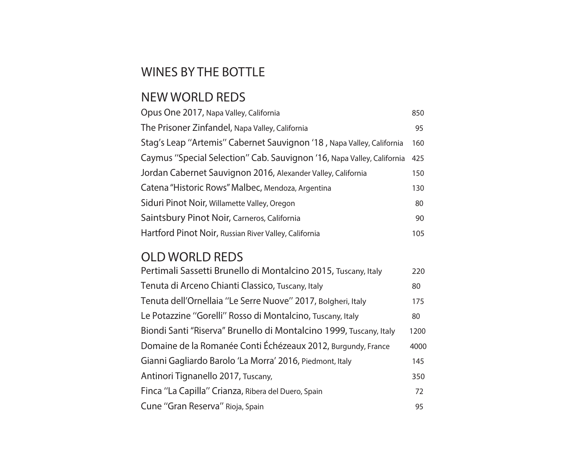# WINES BY THE BOTTLE

# NEW WORLD REDS

| Opus One 2017, Napa Valley, California                                 | 850 |
|------------------------------------------------------------------------|-----|
| The Prisoner Zinfandel, Napa Valley, California                        | 95  |
| Stag's Leap "Artemis" Cabernet Sauvignon '18, Napa Valley, California  | 160 |
| Caymus "Special Selection" Cab. Sauvignon '16, Napa Valley, California | 425 |
| Jordan Cabernet Sauvignon 2016, Alexander Valley, California           | 150 |
| Catena "Historic Rows" Malbec, Mendoza, Argentina                      | 130 |
| Siduri Pinot Noir, Willamette Valley, Oregon                           | 80  |
| Saintsbury Pinot Noir, Carneros, California                            | 90  |
| Hartford Pinot Noir, Russian River Valley, California                  | 105 |

## OLD WORLD REDS

| Pertimali Sassetti Brunello di Montalcino 2015, Tuscany, Italy     | 220  |
|--------------------------------------------------------------------|------|
| Tenuta di Arceno Chianti Classico, Tuscany, Italy                  | 80   |
| Tenuta dell'Ornellaia "Le Serre Nuove" 2017, Bolgheri, Italy       | 175  |
| Le Potazzine "Gorelli" Rosso di Montalcino, Tuscany, Italy         | 80   |
| Biondi Santi "Riserva" Brunello di Montalcino 1999, Tuscany, Italy | 1200 |
| Domaine de la Romanée Conti Échézeaux 2012, Burgundy, France       | 4000 |
| Gianni Gagliardo Barolo 'La Morra' 2016, Piedmont, Italy           | 145  |
| Antinori Tignanello 2017, Tuscany,                                 | 350  |
| Finca "La Capilla" Crianza, Ribera del Duero, Spain                | 72   |
| Cune "Gran Reserva" Rioja, Spain                                   | 95   |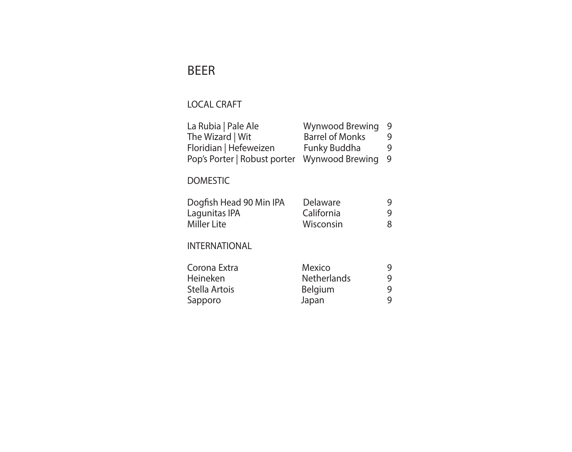# BEER

## LOCAL CRAFT

| Wynwood Brewing        | 9   |
|------------------------|-----|
| <b>Barrel of Monks</b> | 9   |
| Funky Buddha           | 9   |
| Wynwood Brewing        | - 9 |
|                        |     |

### DOMESTIC

| Dogfish Head 90 Min IPA | Delaware   | q  |
|-------------------------|------------|----|
| Lagunitas IPA           | California | Q. |
| Miller Lite             | Wisconsin  | 8  |

### INTERNATIONAL

| Mexico             | 9 |
|--------------------|---|
| <b>Netherlands</b> | g |
| <b>Belgium</b>     | 9 |
| Japan              | 9 |
|                    |   |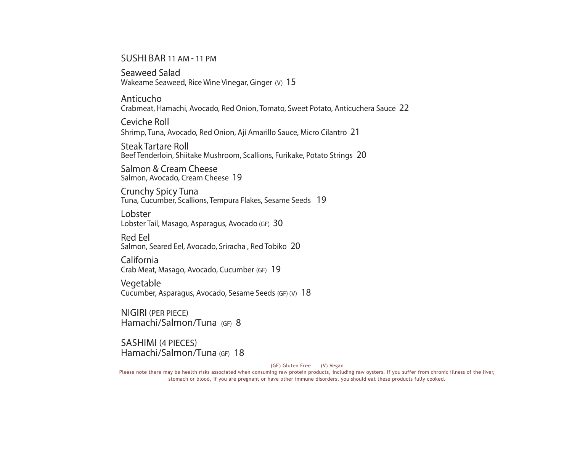SUSHI BAR 11 AM - 11 PM

Seaweed Salad Wakeame Seaweed, Rice Wine Vinegar, Ginger (V) 15

Anticucho Crabmeat, Hamachi, Avocado, Red Onion, Tomato, Sweet Potato, Anticuchera Sauce 22

Ceviche Roll Shrimp, Tuna, Avocado, Red Onion, Ají Amarillo Sauce, Micro Cilantro 21

Steak Tartare Roll Beef Tenderloin, Shiitake Mushroom, Scallions, Furikake, Potato Strings 20

Salmon & Cream Cheese Salmon, Avocado, Cream Cheese 19

Crunchy Spicy Tuna Tuna, Cucumber, Scallions, Tempura Flakes, Sesame Seeds 19

Lobster Lobster Tail, Masago, Asparagus, Avocado (GF) 30

Red Eel<br>Salmon, Seared Eel, Avocado, Sriracha , Red Tobiko 20

California Crab Meat, Masago, Avocado, Cucumber (GF) 19

**Vegetable** Cucumber, Asparagus, Avocado, Sesame Seeds (GF) (V) 18

NIGIRI (PER PIECE) Hamachi/Salmon/Tuna (GF) 8

SASHIMI (4 PIECES) Hamachi/Salmon/Tuna (GF) 18

(GF) Gluten Free (V) Vegan

Please note there may be health risks associated when consuming raw protein products, including raw oysters. If you suffer from chronic illness of the liver, stomach or blood, if you are pregnant or have other immune disorders, you should eat these products fully cooked.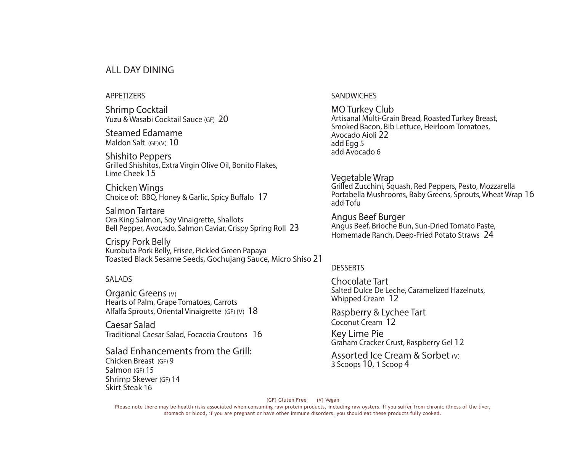#### ALL DAY DINING

#### APPETIZERS

Shrimp Cocktail Yuzu & Wasabi Cocktail Sauce (GF) 20

Steamed Edamame Maldon Salt (GF)(V) 10

Shishito Peppers Grilled Shishitos, Extra Virgin Olive Oil, Bonito Flakes, Lime Cheek 15

Chicken Wings Choice of: BBQ, Honey & Garlic, Spicy Buffalo 17

Salmon Tartare Ora King Salmon, Soy Vinaigrette, Shallots Bell Pepper, Avocado, Salmon Caviar, Crispy Spring Roll 23

Crispy Pork Belly Kurobuta Pork Belly, Frisee, Pickled Green Papaya Toasted Black Sesame Seeds, Gochujang Sauce, Micro Shiso 21

#### SALADS

Skirt Steak 16

Organic Greens (V) Hearts of Palm, Grape Tomatoes, Carrots Alfalfa Sprouts, Oriental Vinaigrette (GF) (V) 18

Caesar Salad Traditional Caesar Salad, Focaccia Croutons 16

Salad Enhancements from the Grill: Chicken Breast (GF) 9 Salmon (GF) 15 Shrimp Skewer (GF) 14

**SANDWICHES** 

MO Turkey Club Artisanal Multi-Grain Bread, Roasted Turkey Breast, Smoked Bacon, Bib Lettuce, Heirloom Tomatoes, Avocado Aioli 22 add Egg 5 add Avocado 6

Vegetable Wrap Grilled Zucchini, Squash, Red Peppers, Pesto, Mozzarella Portabella Mushrooms, Baby Greens, Sprouts, Wheat Wrap 16 add Tofu

Angus Beef Burger Angus Beef, Brioche Bun, Sun-Dried Tomato Paste, Homemade Ranch, Deep-Fried Potato Straws 24

#### **DESSERTS**

Chocolate Tart Salted Dulce De Leche, Caramelized Hazelnuts, Whipped Cream 12

Raspberry & Lychee Tart Coconut Cream 12

Key Lime Pie Graham Cracker Crust, Raspberry Gel 12

Assorted Ice Cream & Sorbet (V) 3 Scoops 10, 1 Scoop 4

(GF) Gluten Free (V) Vegan

Please note there may be health risks associated when consuming raw protein products, including raw oysters. If you suffer from chronic illness of the liver, stomach or blood, if you are pregnant or have other immune disorders, you should eat these products fully cooked.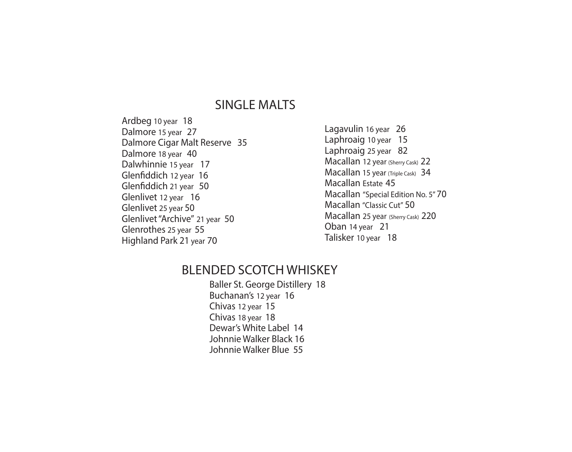## SINGLE MALTS

Ardbeg 10 year 18 Dalmore 15 year 27 Dalmore Cigar Malt Reserve 35 Dalmore 18 year 40 Dalwhinnie 15 year 17 Glenfiddich 12 year 16 Glenfiddich 21 year 50 Glenlivet 12 year 16 Glenlivet 25 year 50 Glenlivet "Archive" 21 year 50 Glenrothes 25 year 55 Highland Park 21 year 70

Lagavulin 16 year 26 Laphroaig 10 year 15 Laphroaig 25 year 82 Macallan 12 year (Sherry Cask) 22 Macallan 15 year (Triple Cask) 34 Macallan Estate 45 Macallan "Special Edition No. 5"70 Macallan "Classic Cut" 50 Macallan 25 year (Sherry Cask) 220 Oban 14 year 21 Talisker 10 year 18

## BLENDED SCOTCH WHISKEY

Baller St. George Distillery 18 Buchanan's 12 year 16 Chivas 12 year 15 Chivas 18 year 18 Dewar's White Label 14 Johnnie Walker Black 16 Johnnie Walker Blue 55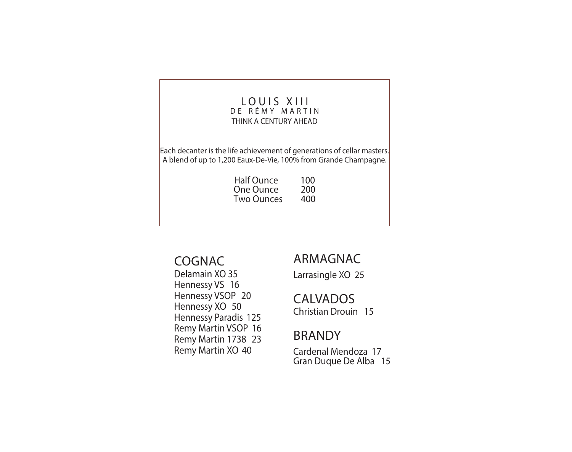#### LOUIS XIII DE RÉMY MARTIN THINK A CENTURY AHEAD

Each decanter is the life achievement of generations of cellar masters. A blend of up to 1,200 Eaux-De-Vie, 100% from Grande Champagne.

| <b>Half Ounce</b> | 100 |
|-------------------|-----|
| One Ounce         | 200 |
| Two Ounces        | 400 |

## COGNAC

Delamain XO 35 Hennessy VS 16 Hennessy VSOP 20 Hennessy XO 50 Hennessy Paradis 125 Remy Martin VSOP 16 Remy Martin 1738 23 Remy Martin XO 40

## ARMAGNAC

Larrasingle XO 25

## CALVADOS

Christian Drouin 15

## BRANDY

Cardenal Mendoza 17 Gran Duque De Alba 15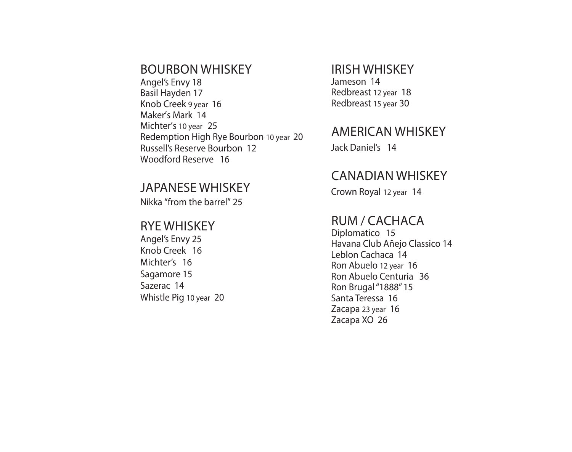### BOURBON WHISKEY

Angel's Envy 18 Basil Hayden 17 Knob Creek 9 year 16 Maker's Mark 14 Michter's 10 year 25 Redemption High Rye Bourbon 10 year 20 Russell's Reserve Bourbon 12 Woodford Reserve 16

### JAPANESE WHISKEY

Nikka "from the barrel" 25

### RYE WHISKEY

Angel's Envy 25 Knob Creek 16 Michter's 16 Sagamore 15 Sazerac 14 Whistle Pig 10 year 20

### IRISH WHISKEY

Jameson 14 Redbreast 12 year 18 Redbreast 15 year 30

## AMERICAN WHISKEY

Jack Daniel's 14

## CANADIAN WHISKEY

Crown Royal 12 year 14

## RUM / CACHACA

Diplomatico 15 Havana Club Añejo Classico 14 Leblon Cachaca 14 Ron Abuelo 12 year 16 Ron Abuelo Centuria 36 Ron Brugal "1888" 15 Santa Teressa 16 Zacapa 23 year 16 Zacapa XO 26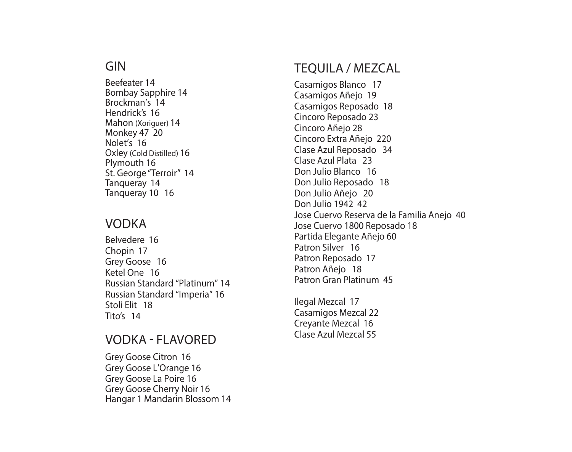## GIN

Beefeater 14 Bombay Sapphire 14 Brockman's 14 Hendrick's 16 Mahon (Xoriguer) 14 Monkey 47 20 Nolet's 16 Oxley (Cold Distilled) 16 Plymouth 16 St. George "Terroir" 14 Tanqueray 14 Tanqueray 10 16

## VODKA

Belvedere 16 Chopin 17 Grey Goose 16 Ketel One 16 Russian Standard "Platinum" 14 Russian Standard "Imperia" 16 Stoli Elit 18 Tito's 14

## VODKA - FLAVORED

Grey Goose Citron 16 Grey Goose L'Orange 16 Grey Goose La Poire 16 Grey Goose Cherry Noir 16 Hangar 1 Mandarin Blossom 14

# TEQUILA / MEZCAL

Casamigos Blanco 17 Casamigos Añejo 19 Casamigos Reposado 18 Cincoro Reposado 23 Cincoro Añejo 28 Cincoro Extra Añejo 220 Clase Azul Reposado 34 Clase Azul Plata 23 Don Julio Blanco 16 Don Julio Reposado 18 Don Julio Añejo 20 Don Julio 1942 42 Jose Cuervo Reserva de la Familia Anejo 40 Jose Cuervo 1800 Reposado 18 Partida Elegante Añejo 60 Patron Silver 16 Patron Reposado 17 Patron Añejo 18 Patron Gran Platinum 45

Ilegal Mezcal 17 Casamigos Mezcal 22 Creyante Mezcal 16 Clase Azul Mezcal 55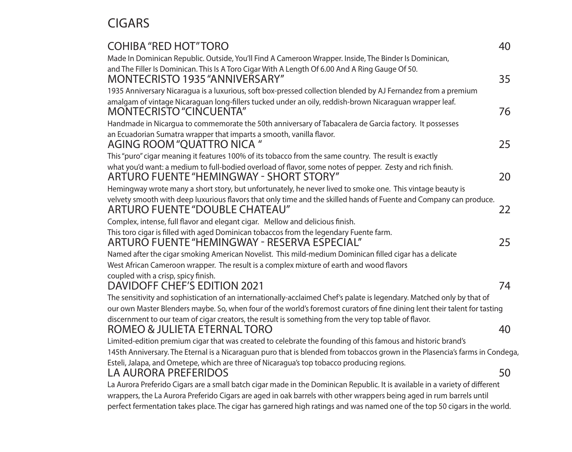# CIGARS

| <b>COHIBA "RED HOT" TORO</b>                                                                                                                         | 40 |
|------------------------------------------------------------------------------------------------------------------------------------------------------|----|
| Made In Dominican Republic. Outside, You'll Find A Cameroon Wrapper. Inside, The Binder Is Dominican,                                                |    |
| and The Filler Is Dominican. This Is A Toro Cigar With A Length Of 6.00 And A Ring Gauge Of 50.<br>MONTECRISTO 1935 "ANNIVERSARY"                    | 35 |
| 1935 Anniversary Nicaragua is a luxurious, soft box-pressed collection blended by AJ Fernandez from a premium                                        |    |
| amalgam of vintage Nicaraguan long-fillers tucked under an oily, reddish-brown Nicaraguan wrapper leaf.<br><b>MONTECRISTO "CINCUENTA"</b>            | 76 |
| Handmade in Nicargua to commemorate the 50th anniversary of Tabacalera de Garcia factory. It possesses                                               |    |
| an Ecuadorian Sumatra wrapper that imparts a smooth, vanilla flavor.<br>AGING ROOM "QUATTRO NICA"                                                    | 25 |
| This "puro" cigar meaning it features 100% of its tobacco from the same country. The result is exactly                                               |    |
| what you'd want: a medium to full-bodied overload of flavor, some notes of pepper. Zesty and rich finish.<br>ARTURO FUENTE "HEMINGWAY - SHORT STORY" | 20 |
| Hemingway wrote many a short story, but unfortunately, he never lived to smoke one. This vintage beauty is                                           |    |
| velvety smooth with deep luxurious flavors that only time and the skilled hands of Fuente and Company can produce.<br>ARTURO FUENTE "DOUBLE CHATEAU" | 22 |
| Complex, intense, full flavor and elegant cigar. Mellow and delicious finish.                                                                        |    |
| This toro cigar is filled with aged Dominican tobaccos from the legendary Fuente farm.<br>ARTURO FUENTE "HEMINGWAY - RESERVA ESPECIAL"               | 25 |
| Named after the cigar smoking American Novelist. This mild-medium Dominican filled cigar has a delicate                                              |    |
| West African Cameroon wrapper. The result is a complex mixture of earth and wood flavors                                                             |    |
| coupled with a crisp, spicy finish.                                                                                                                  |    |
| DAVIDOFF CHEF'S EDITION 2021                                                                                                                         | 74 |
| The sensitivity and sophistication of an internationally-acclaimed Chef's palate is legendary. Matched only by that of                               |    |
| our own Master Blenders maybe. So, when four of the world's foremost curators of fine dining lent their talent for tasting                           |    |
| discernment to our team of cigar creators, the result is something from the very top table of flavor.<br>ROMEO & JULIETA ETERNAL TORO                | 40 |
| Limited-edition premium cigar that was created to celebrate the founding of this famous and historic brand's                                         |    |
| 145th Anniversary. The Eternal is a Nicaraguan puro that is blended from tobaccos grown in the Plasencia's farms in Condega,                         |    |
| Esteli, Jalapa, and Ometepe, which are three of Nicaragua's top tobacco producing regions.<br>LA AURORA PREFERIDOS                                   | 50 |
| La Aurora Preferido Cigars are a small batch cigar made in the Dominican Republic. It is available in a variety of different                         |    |
| wrappers, the La Aurora Preferido Cigars are aged in oak barrels with other wrappers being aged in rum barrels until                                 |    |
| perfect fermentation takes place. The cigar has garnered high ratings and was named one of the top 50 cigars in the world.                           |    |